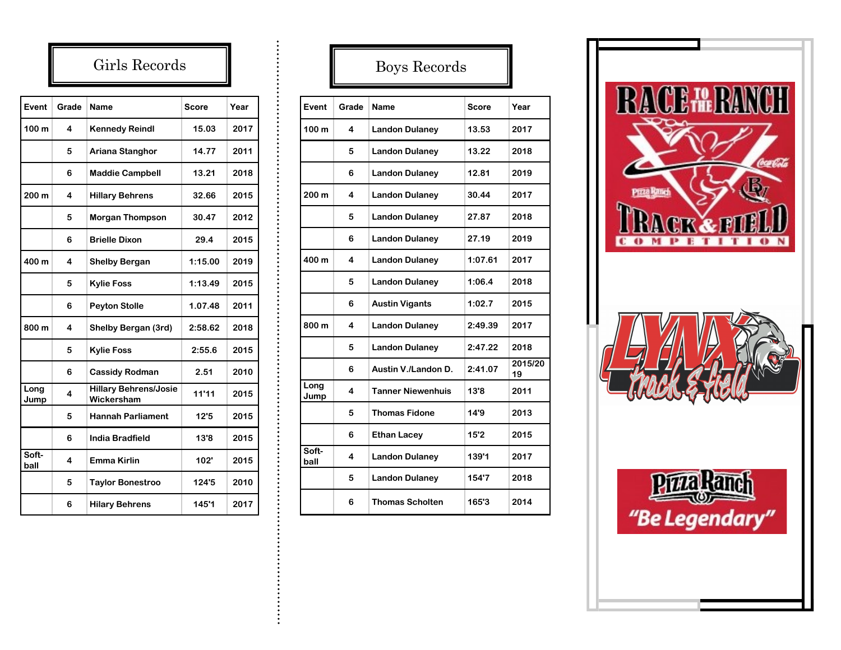## Girls Records

| Event         | Grade | Name                                       | Score   | Year |
|---------------|-------|--------------------------------------------|---------|------|
| 100 m         | 4     | <b>Kennedy Reindl</b>                      | 15.03   | 2017 |
|               | 5     | Ariana Stanghor                            | 14.77   | 2011 |
|               | 6     | <b>Maddie Campbell</b>                     | 13.21   | 2018 |
| 200 m         | 4     | <b>Hillary Behrens</b>                     | 32.66   | 2015 |
|               | 5     | <b>Morgan Thompson</b>                     | 30.47   | 2012 |
|               | 6     | <b>Brielle Dixon</b>                       | 29.4    | 2015 |
| 400 m         | 4     | <b>Shelby Bergan</b>                       | 1:15.00 | 2019 |
|               | 5     | <b>Kylie Foss</b>                          | 1:13.49 | 2015 |
|               | 6     | <b>Peyton Stolle</b>                       | 1.07.48 | 2011 |
| 800 m         | 4     | Shelby Bergan (3rd)                        | 2:58.62 | 2018 |
|               | 5     | <b>Kylie Foss</b>                          | 2:55.6  | 2015 |
|               | 6     | <b>Cassidy Rodman</b>                      | 2.51    | 2010 |
| Long<br>Jump  | 4     | <b>Hillary Behrens/Josie</b><br>Wickersham | 11'11   | 2015 |
|               | 5     | <b>Hannah Parliament</b>                   | 12'5    | 2015 |
|               | 6     | <b>India Bradfield</b>                     | 13'8    | 2015 |
| Soft-<br>ball | 4     | Emma Kirlin                                | 102'    | 2015 |
|               | 5     | <b>Taylor Bonestroo</b>                    | 124'5   | 2010 |
|               | 6     | <b>Hilary Behrens</b>                      | 145'1   | 2017 |

## Boys Records

| Event            | Grade | <b>Name</b>              | <b>Score</b> | Year          |
|------------------|-------|--------------------------|--------------|---------------|
| 100 m            | 4     | <b>Landon Dulaney</b>    | 13.53        | 2017          |
|                  | 5     | <b>Landon Dulaney</b>    | 13.22        | 2018          |
|                  | 6     | <b>Landon Dulaney</b>    | 12.81        | 2019          |
| 200 <sub>m</sub> | 4     | <b>Landon Dulaney</b>    | 30.44        | 2017          |
|                  | 5     | <b>Landon Dulaney</b>    | 27.87        | 2018          |
|                  | 6     | <b>Landon Dulaney</b>    | 27.19        | 2019          |
| 400 m            | 4     | <b>Landon Dulaney</b>    | 1:07.61      | 2017          |
|                  | 5     | <b>Landon Dulaney</b>    | 1:06.4       | 2018          |
|                  | 6     | <b>Austin Vigants</b>    | 1:02.7       | 2015          |
| 800 m            | 4     | <b>Landon Dulaney</b>    | 2:49.39      | 2017          |
|                  | 5     | <b>Landon Dulaney</b>    | 2:47.22      | 2018          |
|                  | 6     | Austin V./Landon D.      | 2:41.07      | 2015/20<br>19 |
| Long<br>Jump     | 4     | <b>Tanner Niewenhuis</b> | 13'8         | 2011          |
|                  | 5     | <b>Thomas Fidone</b>     | 14'9         | 2013          |
| Soft-<br>ball    | 6     | <b>Ethan Lacey</b>       | 15'2         | 2015          |
|                  | 4     | <b>Landon Dulaney</b>    | 139'1        | 2017          |
|                  | 5     | <b>Landon Dulaney</b>    | 154'7        | 2018          |
|                  | 6     | <b>Thomas Scholten</b>   | 165'3        | 2014          |